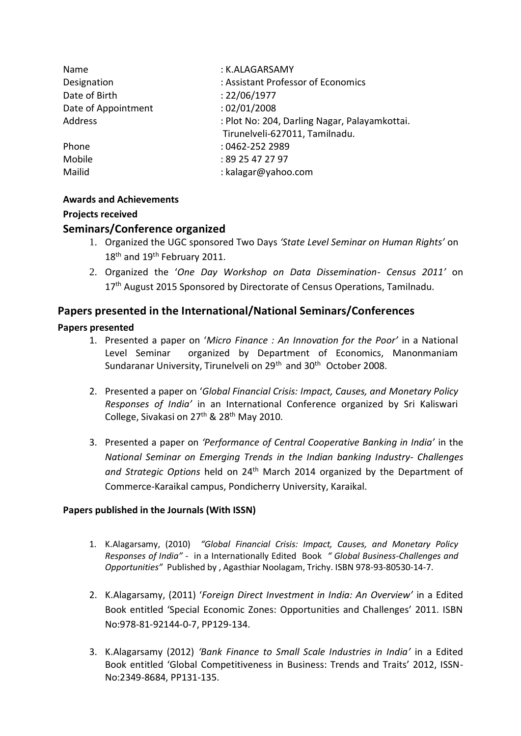| Name                | : K.ALAGARSAMY                                |
|---------------------|-----------------------------------------------|
| Designation         | : Assistant Professor of Economics            |
| Date of Birth       | : 22/06/1977                                  |
| Date of Appointment | : 02/01/2008                                  |
| Address             | : Plot No: 204, Darling Nagar, Palayamkottai. |
|                     | Tirunelveli-627011, Tamilnadu.                |
| Phone               | : 0462-252 2989                               |
| Mobile              | : 89 25 47 27 97                              |
| Mailid              | : kalagar@yahoo.com                           |

### **Awards and Achievements**

### **Projects received**

## **Seminars/Conference organized**

- 1. Organized the UGC sponsored Two Days *'State Level Seminar on Human Rights'* on 18<sup>th</sup> and 19<sup>th</sup> February 2011.
- 2. Organized the '*One Day Workshop on Data Dissemination- Census 2011'* on 17<sup>th</sup> August 2015 Sponsored by Directorate of Census Operations, Tamilnadu.

# **Papers presented in the International/National Seminars/Conferences**

## **Papers presented**

- 1. Presented a paper on '*Micro Finance : An Innovation for the Poor'* in a National Level Seminar organized by Department of Economics, Manonmaniam Sundaranar University, Tirunelveli on 29<sup>th</sup> and 30<sup>th</sup> October 2008.
- 2. Presented a paper on '*Global Financial Crisis: Impact, Causes, and Monetary Policy Responses of India'* in an International Conference organized by Sri Kaliswari College, Sivakasi on 27th & 28th May 2010.
- 3. Presented a paper on *'Performance of Central Cooperative Banking in India'* in the *National Seminar on Emerging Trends in the Indian banking Industry- Challenges and Strategic Options* held on 24th March 2014 organized by the Department of Commerce-Karaikal campus, Pondicherry University, Karaikal.

## **Papers published in the Journals (With ISSN)**

- 1. K.Alagarsamy, (2010) *"Global Financial Crisis: Impact, Causes, and Monetary Policy Responses of India" -* in a Internationally Edited Book *" Global Business-Challenges and Opportunities"* Published by , Agasthiar Noolagam, Trichy. ISBN 978-93-80530-14-7.
- 2. K.Alagarsamy, (2011) '*Foreign Direct Investment in India: An Overview'* in a Edited Book entitled 'Special Economic Zones: Opportunities and Challenges' 2011. ISBN No:978-81-92144-0-7, PP129-134.
- 3. K.Alagarsamy (2012) *'Bank Finance to Small Scale Industries in India'* in a Edited Book entitled 'Global Competitiveness in Business: Trends and Traits' 2012, ISSN-No:2349-8684, PP131-135.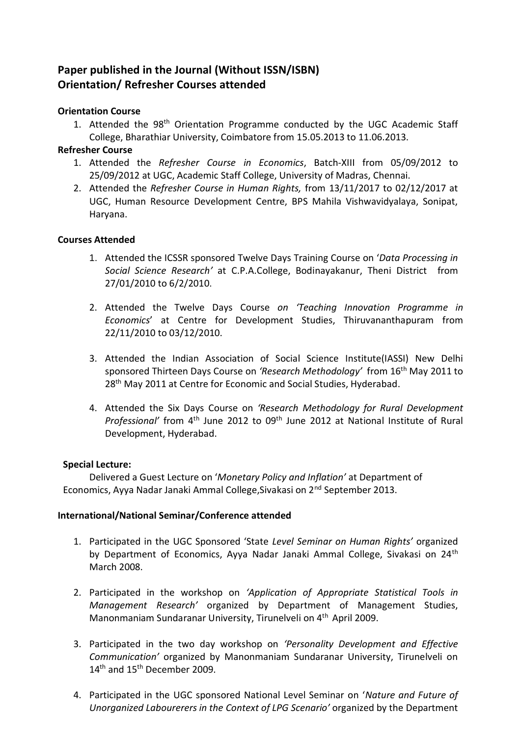# **Paper published in the Journal (Without ISSN/ISBN) Orientation/ Refresher Courses attended**

### **Orientation Course**

1. Attended the 98<sup>th</sup> Orientation Programme conducted by the UGC Academic Staff College, Bharathiar University, Coimbatore from 15.05.2013 to 11.06.2013.

## **Refresher Course**

- 1. Attended the *Refresher Course in Economics*, Batch-XIII from 05/09/2012 to 25/09/2012 at UGC, Academic Staff College, University of Madras, Chennai.
- 2. Attended the *Refresher Course in Human Rights,* from 13/11/2017 to 02/12/2017 at UGC, Human Resource Development Centre, BPS Mahila Vishwavidyalaya, Sonipat, Haryana.

### **Courses Attended**

- 1. Attended the ICSSR sponsored Twelve Days Training Course on '*Data Processing in Social Science Research'* at C.P.A.College, Bodinayakanur, Theni District from 27/01/2010 to 6/2/2010.
- 2. Attended the Twelve Days Course *on 'Teaching Innovation Programme in Economics*' at Centre for Development Studies, Thiruvananthapuram from 22/11/2010 to 03/12/2010.
- 3. Attended the Indian Association of Social Science Institute(IASSI) New Delhi sponsored Thirteen Days Course on *'Research Methodology'* from 16th May 2011 to 28<sup>th</sup> May 2011 at Centre for Economic and Social Studies, Hyderabad.
- 4. Attended the Six Days Course on *'Research Methodology for Rural Development*  Professional' from 4<sup>th</sup> June 2012 to 09<sup>th</sup> June 2012 at National Institute of Rural Development, Hyderabad.

#### **Special Lecture:**

Delivered a Guest Lecture on '*Monetary Policy and Inflation'* at Department of Economics, Ayya Nadar Janaki Ammal College, Sivakasi on 2<sup>nd</sup> September 2013.

#### **International/National Seminar/Conference attended**

- 1. Participated in the UGC Sponsored 'State *Level Seminar on Human Rights'* organized by Department of Economics, Ayya Nadar Janaki Ammal College, Sivakasi on 24<sup>th</sup> March 2008.
- 2. Participated in the workshop on *'Application of Appropriate Statistical Tools in Management Research'* organized by Department of Management Studies, Manonmaniam Sundaranar University, Tirunelveli on 4th April 2009.
- 3. Participated in the two day workshop on *'Personality Development and Effective Communication'* organized by Manonmaniam Sundaranar University, Tirunelveli on 14<sup>th</sup> and 15<sup>th</sup> December 2009.
- 4. Participated in the UGC sponsored National Level Seminar on '*Nature and Future of Unorganized Labourerers in the Context of LPG Scenario'* organized by the Department